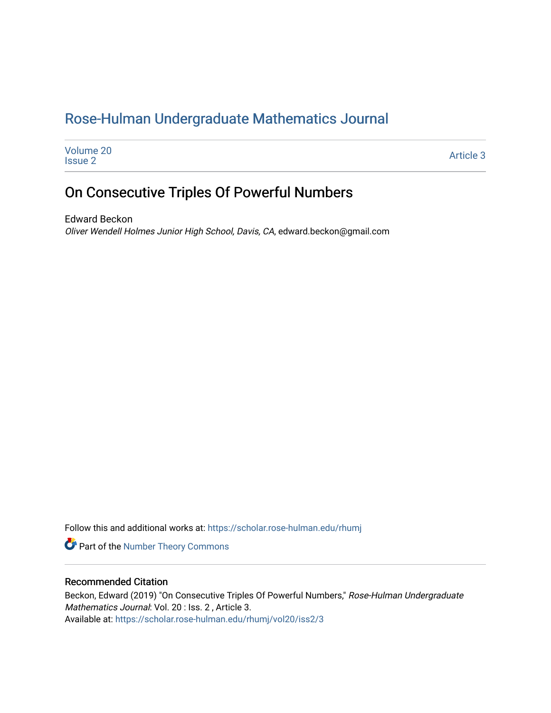## [Rose-Hulman Undergraduate Mathematics Journal](https://scholar.rose-hulman.edu/rhumj)

| Volume 20      | Article 3 |
|----------------|-----------|
| <b>Issue 2</b> |           |

## On Consecutive Triples Of Powerful Numbers

Edward Beckon Oliver Wendell Holmes Junior High School, Davis, CA, edward.beckon@gmail.com

Follow this and additional works at: [https://scholar.rose-hulman.edu/rhumj](https://scholar.rose-hulman.edu/rhumj?utm_source=scholar.rose-hulman.edu%2Frhumj%2Fvol20%2Fiss2%2F3&utm_medium=PDF&utm_campaign=PDFCoverPages)

Part of the [Number Theory Commons](http://network.bepress.com/hgg/discipline/183?utm_source=scholar.rose-hulman.edu%2Frhumj%2Fvol20%2Fiss2%2F3&utm_medium=PDF&utm_campaign=PDFCoverPages) 

#### Recommended Citation

Beckon, Edward (2019) "On Consecutive Triples Of Powerful Numbers," Rose-Hulman Undergraduate Mathematics Journal: Vol. 20 : Iss. 2 , Article 3. Available at: [https://scholar.rose-hulman.edu/rhumj/vol20/iss2/3](https://scholar.rose-hulman.edu/rhumj/vol20/iss2/3?utm_source=scholar.rose-hulman.edu%2Frhumj%2Fvol20%2Fiss2%2F3&utm_medium=PDF&utm_campaign=PDFCoverPages)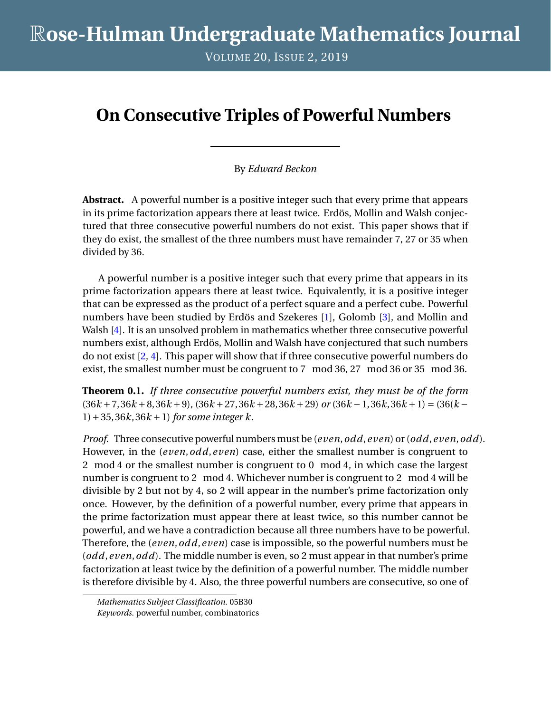VOLUME 20, ISSUE 2, 2019

# **On Consecutive Triples of Powerful Numbers**

By *Edward Beckon*

**Abstract.** A powerful number is a positive integer such that every prime that appears in its prime factorization appears there at least twice. Erdös, Mollin and Walsh conjectured that three consecutive powerful numbers do not exist. This paper shows that if they do exist, the smallest of the three numbers must have remainder 7, 27 or 35 when divided by 36.

A powerful number is a positive integer such that every prime that appears in its prime factorization appears there at least twice. Equivalently, it is a positive integer that can be expressed as the product of a perfect square and a perfect cube. Powerful numbers have been studied by Erdös and Szekeres [\[1\]](#page-3-0), Golomb [\[3\]](#page-3-1), and Mollin and Walsh [\[4\]](#page-3-2). It is an unsolved problem in mathematics whether three consecutive powerful numbers exist, although Erdös, Mollin and Walsh have conjectured that such numbers do not exist [\[2,](#page-3-3) [4\]](#page-3-2). This paper will show that if three consecutive powerful numbers do exist, the smallest number must be congruent to 7 mod 36, 27 mod 36 or 35 mod 36.

**Theorem 0.1.** *If three consecutive powerful numbers exist, they must be of the form*  $(36k + 7,36k + 8,36k + 9)$ ,  $(36k + 27,36k + 28,36k + 29)$  *or*  $(36k - 1,36k,36k + 1) = (36(k - 1,36k))$ 1)+35, 36*k*, 36*k* +1) *for some integer k.*

*Proof.* Three consecutive powerful numbers must be (*even*,*odd*,*even*) or (*odd*,*even*,*odd*). However, in the (*even*,*odd*,*even*) case, either the smallest number is congruent to 2 mod 4 or the smallest number is congruent to 0 mod 4, in which case the largest number is congruent to 2 mod 4. Whichever number is congruent to 2 mod 4 will be divisible by 2 but not by 4, so 2 will appear in the number's prime factorization only once. However, by the definition of a powerful number, every prime that appears in the prime factorization must appear there at least twice, so this number cannot be powerful, and we have a contradiction because all three numbers have to be powerful. Therefore, the (*even*,*odd*,*even*) case is impossible, so the powerful numbers must be (*odd*,*even*,*odd*). The middle number is even, so 2 must appear in that number's prime factorization at least twice by the definition of a powerful number. The middle number is therefore divisible by 4. Also, the three powerful numbers are consecutive, so one of

*Mathematics Subject Classification.* 05B30 *Keywords.* powerful number, combinatorics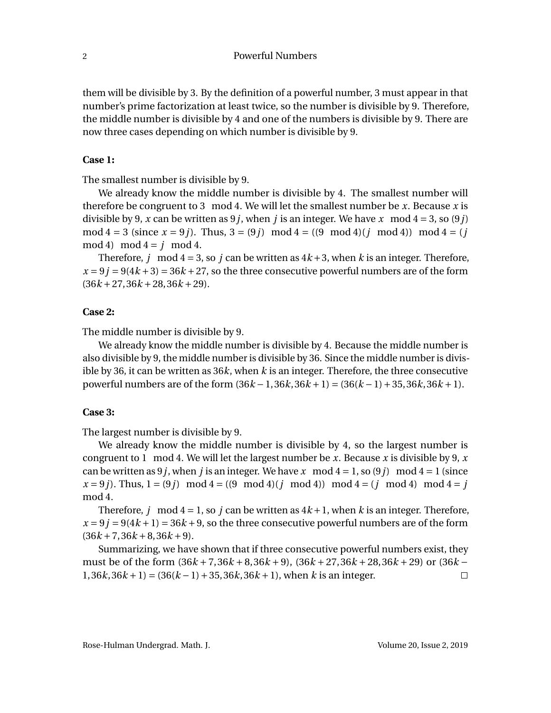them will be divisible by 3. By the definition of a powerful number, 3 must appear in that number's prime factorization at least twice, so the number is divisible by 9. Therefore, the middle number is divisible by 4 and one of the numbers is divisible by 9. There are now three cases depending on which number is divisible by 9.

#### **Case 1:**

The smallest number is divisible by 9.

We already know the middle number is divisible by 4. The smallest number will therefore be congruent to 3 mod 4. We will let the smallest number be  $x$ . Because  $x$  is divisible by 9, *x* can be written as 9*j*, when *j* is an integer. We have *x* mod  $4 = 3$ , so (9*j*) mod  $4 = 3$  (since  $x = 9j$ ). Thus,  $3 = (9j) \mod 4 = ((9 \mod 4)(j \mod 4)) \mod 4 = (j$ mod 4) mod  $4 = j \mod 4$ .

Therefore, *j* mod  $4 = 3$ , so *j* can be written as  $4k+3$ , when *k* is an integer. Therefore,  $x = 9j = 9(4k + 3) = 36k + 27$ , so the three consecutive powerful numbers are of the form  $(36k + 27, 36k + 28, 36k + 29).$ 

#### **Case 2:**

The middle number is divisible by 9.

We already know the middle number is divisible by 4. Because the middle number is also divisible by 9, the middle number is divisible by 36. Since the middle number is divisible by 36, it can be written as 36*k*, when *k* is an integer. Therefore, the three consecutive powerful numbers are of the form  $(36k - 1, 36k, 36k + 1) = (36(k - 1) + 35, 36k, 36k + 1)$ .

#### **Case 3:**

The largest number is divisible by 9.

We already know the middle number is divisible by 4, so the largest number is congruent to 1 mod 4. We will let the largest number be *x*. Because *x* is divisible by 9, *x* can be written as 9 *j*, when *j* is an integer. We have  $x \mod 4 = 1$ , so (9 *j*) mod  $4 = 1$  (since  $x = 9j$ . Thus,  $1 = (9j) \mod 4 = ((9 \mod 4)(j \mod 4)) \mod 4 = (j \mod 4) \mod 4 = j$ mod 4.

Therefore, *j* mod  $4 = 1$ , so *j* can be written as  $4k + 1$ , when *k* is an integer. Therefore,  $x = 9j = 9(4k + 1) = 36k + 9$ , so the three consecutive powerful numbers are of the form  $(36k + 7, 36k + 8, 36k + 9).$ 

Summarizing, we have shown that if three consecutive powerful numbers exist, they must be of the form  $(36k + 7,36k + 8,36k + 9)$ ,  $(36k + 27,36k + 28,36k + 29)$  or  $(36k 1, 36k, 36k + 1$  =  $(36(k-1) + 35, 36k, 36k + 1)$ , when *k* is an integer.  $\Box$